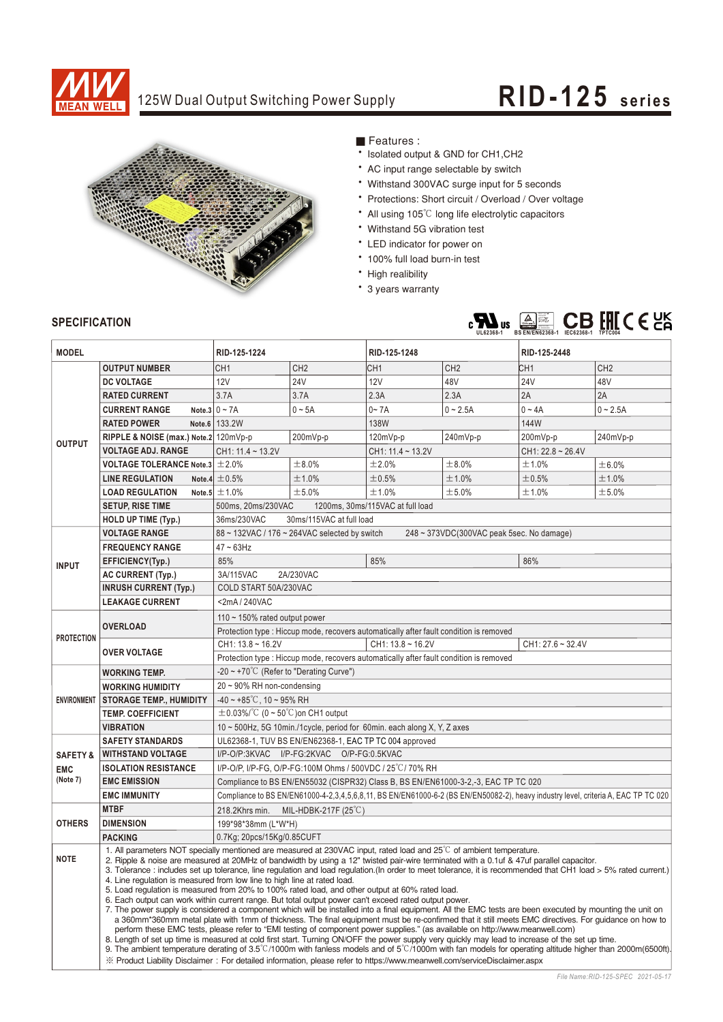

## 125W Dual Output Switching Power Supply **RID-125 series**



Features:

- \* Isolated output & GND for CH1, CH2
- AC input range selectable by switch
- Withstand 300VAC surge input for 5 seconds
- \* Protections: Short circuit / Overload / Over voltage
- All using 105°C long life electrolytic capacitors
- Withstand 5G vibration test
- LED indicator for power on
- \* 100% full load burn-in test
- High realibility
- \* 3 years warranty



### **SPECIFICATION**

| <b>MODEL</b>           |                                                                                                                                                                                                                                                                                                                                                                                                                                                                                                                                                                                                                                                                                                                                                                                                                                                                                                                                                                                                                                                                                                                                                                                                                                                                                                                                                                                                                                                                                                        | RID-125-1224                                                                                                                       |                 | RID-125-1248                                                                           |                 | RID-125-2448           |                 |  |  |
|------------------------|--------------------------------------------------------------------------------------------------------------------------------------------------------------------------------------------------------------------------------------------------------------------------------------------------------------------------------------------------------------------------------------------------------------------------------------------------------------------------------------------------------------------------------------------------------------------------------------------------------------------------------------------------------------------------------------------------------------------------------------------------------------------------------------------------------------------------------------------------------------------------------------------------------------------------------------------------------------------------------------------------------------------------------------------------------------------------------------------------------------------------------------------------------------------------------------------------------------------------------------------------------------------------------------------------------------------------------------------------------------------------------------------------------------------------------------------------------------------------------------------------------|------------------------------------------------------------------------------------------------------------------------------------|-----------------|----------------------------------------------------------------------------------------|-----------------|------------------------|-----------------|--|--|
|                        | <b>OUTPUT NUMBER</b>                                                                                                                                                                                                                                                                                                                                                                                                                                                                                                                                                                                                                                                                                                                                                                                                                                                                                                                                                                                                                                                                                                                                                                                                                                                                                                                                                                                                                                                                                   | CH <sub>1</sub>                                                                                                                    | CH <sub>2</sub> | CH <sub>1</sub>                                                                        | CH <sub>2</sub> | CH <sub>1</sub>        | CH <sub>2</sub> |  |  |
|                        | <b>DC VOLTAGE</b>                                                                                                                                                                                                                                                                                                                                                                                                                                                                                                                                                                                                                                                                                                                                                                                                                                                                                                                                                                                                                                                                                                                                                                                                                                                                                                                                                                                                                                                                                      | 12V                                                                                                                                | 24V             | <b>12V</b>                                                                             | 48V             | <b>24V</b>             | 48V             |  |  |
|                        | <b>RATED CURRENT</b>                                                                                                                                                                                                                                                                                                                                                                                                                                                                                                                                                                                                                                                                                                                                                                                                                                                                                                                                                                                                                                                                                                                                                                                                                                                                                                                                                                                                                                                                                   | 3.7A                                                                                                                               | 3.7A            | 2.3A                                                                                   | 2.3A            | 2A                     | 2A              |  |  |
|                        | <b>CURRENT RANGE</b>                                                                                                                                                                                                                                                                                                                                                                                                                                                                                                                                                                                                                                                                                                                                                                                                                                                                                                                                                                                                                                                                                                                                                                                                                                                                                                                                                                                                                                                                                   | Note 3 $0 \sim 7A$                                                                                                                 | $0 \sim 5A$     | $0 - 7A$                                                                               | $0 - 2.5A$      | $0 - 4A$               | $0 - 2.5A$      |  |  |
|                        | <b>RATED POWER</b>                                                                                                                                                                                                                                                                                                                                                                                                                                                                                                                                                                                                                                                                                                                                                                                                                                                                                                                                                                                                                                                                                                                                                                                                                                                                                                                                                                                                                                                                                     | Note.6   133.2W                                                                                                                    |                 | 138W                                                                                   |                 | 144W                   |                 |  |  |
|                        | RIPPLE & NOISE (max.) Note.2 120mVp-p                                                                                                                                                                                                                                                                                                                                                                                                                                                                                                                                                                                                                                                                                                                                                                                                                                                                                                                                                                                                                                                                                                                                                                                                                                                                                                                                                                                                                                                                  | 200mVp-p                                                                                                                           |                 | 120mVp-p                                                                               | 240mVp-p        | 200mVp-p               | 240mVp-p        |  |  |
| <b>OUTPUT</b>          | <b>VOLTAGE ADJ. RANGE</b>                                                                                                                                                                                                                                                                                                                                                                                                                                                                                                                                                                                                                                                                                                                                                                                                                                                                                                                                                                                                                                                                                                                                                                                                                                                                                                                                                                                                                                                                              | CH1: 11.4 ~ 13.2V                                                                                                                  |                 | CH1: 11.4 ~ 13.2V                                                                      |                 | $CH1: 22.8 \sim 26.4V$ |                 |  |  |
|                        | <b>VOLTAGE TOLERANCE Note.3</b> $\pm 2.0\%$                                                                                                                                                                                                                                                                                                                                                                                                                                                                                                                                                                                                                                                                                                                                                                                                                                                                                                                                                                                                                                                                                                                                                                                                                                                                                                                                                                                                                                                            |                                                                                                                                    | ±8.0%           | ±2.0%                                                                                  | ±8.0%           | ±1.0%                  | ±6.0%           |  |  |
|                        | <b>LINE REGULATION</b>                                                                                                                                                                                                                                                                                                                                                                                                                                                                                                                                                                                                                                                                                                                                                                                                                                                                                                                                                                                                                                                                                                                                                                                                                                                                                                                                                                                                                                                                                 | Note.4 $\pm$ 0.5%                                                                                                                  | ±1.0%           | ±0.5%                                                                                  | ±1.0%           | ±0.5%                  | ±1.0%           |  |  |
|                        | <b>LOAD REGULATION</b>                                                                                                                                                                                                                                                                                                                                                                                                                                                                                                                                                                                                                                                                                                                                                                                                                                                                                                                                                                                                                                                                                                                                                                                                                                                                                                                                                                                                                                                                                 | Note.5 $\pm$ 1.0%                                                                                                                  | ±5.0%           | ±1.0%                                                                                  | ±5.0%           | ±1.0%                  | ±5.0%           |  |  |
|                        | <b>SETUP, RISE TIME</b>                                                                                                                                                                                                                                                                                                                                                                                                                                                                                                                                                                                                                                                                                                                                                                                                                                                                                                                                                                                                                                                                                                                                                                                                                                                                                                                                                                                                                                                                                | 500ms, 20ms/230VAC<br>1200ms, 30ms/115VAC at full load                                                                             |                 |                                                                                        |                 |                        |                 |  |  |
|                        | HOLD UP TIME (Typ.)                                                                                                                                                                                                                                                                                                                                                                                                                                                                                                                                                                                                                                                                                                                                                                                                                                                                                                                                                                                                                                                                                                                                                                                                                                                                                                                                                                                                                                                                                    | 36ms/230VAC<br>30ms/115VAC at full load                                                                                            |                 |                                                                                        |                 |                        |                 |  |  |
|                        | <b>VOLTAGE RANGE</b>                                                                                                                                                                                                                                                                                                                                                                                                                                                                                                                                                                                                                                                                                                                                                                                                                                                                                                                                                                                                                                                                                                                                                                                                                                                                                                                                                                                                                                                                                   | 88 ~ 132VAC / 176 ~ 264VAC selected by switch<br>248 ~ 373VDC(300VAC peak 5sec. No damage)                                         |                 |                                                                                        |                 |                        |                 |  |  |
|                        | <b>FREQUENCY RANGE</b>                                                                                                                                                                                                                                                                                                                                                                                                                                                                                                                                                                                                                                                                                                                                                                                                                                                                                                                                                                                                                                                                                                                                                                                                                                                                                                                                                                                                                                                                                 | $47 \sim 63$ Hz                                                                                                                    |                 |                                                                                        |                 |                        |                 |  |  |
| <b>INPUT</b>           | EFFICIENCY(Typ.)                                                                                                                                                                                                                                                                                                                                                                                                                                                                                                                                                                                                                                                                                                                                                                                                                                                                                                                                                                                                                                                                                                                                                                                                                                                                                                                                                                                                                                                                                       | 85%                                                                                                                                |                 | 85%                                                                                    |                 | 86%                    |                 |  |  |
|                        | <b>AC CURRENT (Typ.)</b>                                                                                                                                                                                                                                                                                                                                                                                                                                                                                                                                                                                                                                                                                                                                                                                                                                                                                                                                                                                                                                                                                                                                                                                                                                                                                                                                                                                                                                                                               | 2A/230VAC<br>3A/115VAC                                                                                                             |                 |                                                                                        |                 |                        |                 |  |  |
|                        | <b>INRUSH CURRENT (Typ.)</b>                                                                                                                                                                                                                                                                                                                                                                                                                                                                                                                                                                                                                                                                                                                                                                                                                                                                                                                                                                                                                                                                                                                                                                                                                                                                                                                                                                                                                                                                           | COLD START 50A/230VAC                                                                                                              |                 |                                                                                        |                 |                        |                 |  |  |
|                        | <b>LEAKAGE CURRENT</b>                                                                                                                                                                                                                                                                                                                                                                                                                                                                                                                                                                                                                                                                                                                                                                                                                                                                                                                                                                                                                                                                                                                                                                                                                                                                                                                                                                                                                                                                                 | <2mA/240VAC                                                                                                                        |                 |                                                                                        |                 |                        |                 |  |  |
|                        |                                                                                                                                                                                                                                                                                                                                                                                                                                                                                                                                                                                                                                                                                                                                                                                                                                                                                                                                                                                                                                                                                                                                                                                                                                                                                                                                                                                                                                                                                                        | 110 $\sim$ 150% rated output power                                                                                                 |                 |                                                                                        |                 |                        |                 |  |  |
| <b>PROTECTION</b>      | <b>OVERLOAD</b>                                                                                                                                                                                                                                                                                                                                                                                                                                                                                                                                                                                                                                                                                                                                                                                                                                                                                                                                                                                                                                                                                                                                                                                                                                                                                                                                                                                                                                                                                        | Protection type : Hiccup mode, recovers automatically after fault condition is removed                                             |                 |                                                                                        |                 |                        |                 |  |  |
|                        | <b>OVER VOLTAGE</b>                                                                                                                                                                                                                                                                                                                                                                                                                                                                                                                                                                                                                                                                                                                                                                                                                                                                                                                                                                                                                                                                                                                                                                                                                                                                                                                                                                                                                                                                                    | $CH1: 13.8 \sim 16.2V$<br>CH1: 13.8~16.2V<br>$CH1: 27.6 - 32.4V$                                                                   |                 |                                                                                        |                 |                        |                 |  |  |
|                        |                                                                                                                                                                                                                                                                                                                                                                                                                                                                                                                                                                                                                                                                                                                                                                                                                                                                                                                                                                                                                                                                                                                                                                                                                                                                                                                                                                                                                                                                                                        |                                                                                                                                    |                 | Protection type : Hiccup mode, recovers automatically after fault condition is removed |                 |                        |                 |  |  |
|                        | <b>WORKING TEMP.</b>                                                                                                                                                                                                                                                                                                                                                                                                                                                                                                                                                                                                                                                                                                                                                                                                                                                                                                                                                                                                                                                                                                                                                                                                                                                                                                                                                                                                                                                                                   | -20 $\sim$ +70°C (Refer to "Derating Curve")                                                                                       |                 |                                                                                        |                 |                        |                 |  |  |
|                        | <b>WORKING HUMIDITY</b>                                                                                                                                                                                                                                                                                                                                                                                                                                                                                                                                                                                                                                                                                                                                                                                                                                                                                                                                                                                                                                                                                                                                                                                                                                                                                                                                                                                                                                                                                | $20 \sim 90\%$ RH non-condensing                                                                                                   |                 |                                                                                        |                 |                        |                 |  |  |
|                        | ENVIRONMENT STORAGE TEMP., HUMIDITY                                                                                                                                                                                                                                                                                                                                                                                                                                                                                                                                                                                                                                                                                                                                                                                                                                                                                                                                                                                                                                                                                                                                                                                                                                                                                                                                                                                                                                                                    | $-40 \sim +85^{\circ}$ C, 10 ~ 95% RH                                                                                              |                 |                                                                                        |                 |                        |                 |  |  |
|                        | <b>TEMP. COEFFICIENT</b>                                                                                                                                                                                                                                                                                                                                                                                                                                                                                                                                                                                                                                                                                                                                                                                                                                                                                                                                                                                                                                                                                                                                                                                                                                                                                                                                                                                                                                                                               | $\pm$ 0.03%/°C (0 ~ 50°C)on CH1 output                                                                                             |                 |                                                                                        |                 |                        |                 |  |  |
|                        | <b>VIBRATION</b>                                                                                                                                                                                                                                                                                                                                                                                                                                                                                                                                                                                                                                                                                                                                                                                                                                                                                                                                                                                                                                                                                                                                                                                                                                                                                                                                                                                                                                                                                       | 10 ~ 500Hz, 5G 10min./1cycle, period for 60min. each along X, Y, Z axes                                                            |                 |                                                                                        |                 |                        |                 |  |  |
|                        | <b>SAFETY STANDARDS</b>                                                                                                                                                                                                                                                                                                                                                                                                                                                                                                                                                                                                                                                                                                                                                                                                                                                                                                                                                                                                                                                                                                                                                                                                                                                                                                                                                                                                                                                                                | UL62368-1, TUV BS EN/EN62368-1, EAC TP TC 004 approved                                                                             |                 |                                                                                        |                 |                        |                 |  |  |
| <b>SAFETY &amp;</b>    | <b>WITHSTAND VOLTAGE</b>                                                                                                                                                                                                                                                                                                                                                                                                                                                                                                                                                                                                                                                                                                                                                                                                                                                                                                                                                                                                                                                                                                                                                                                                                                                                                                                                                                                                                                                                               | I/P-O/P:3KVAC I/P-FG:2KVAC O/P-FG:0.5KVAC                                                                                          |                 |                                                                                        |                 |                        |                 |  |  |
| <b>EMC</b><br>(Note 7) | <b>ISOLATION RESISTANCE</b>                                                                                                                                                                                                                                                                                                                                                                                                                                                                                                                                                                                                                                                                                                                                                                                                                                                                                                                                                                                                                                                                                                                                                                                                                                                                                                                                                                                                                                                                            | I/P-O/P, I/P-FG, O/P-FG:100M Ohms / 500VDC / 25 °C / 70% RH                                                                        |                 |                                                                                        |                 |                        |                 |  |  |
|                        | <b>EMC EMISSION</b>                                                                                                                                                                                                                                                                                                                                                                                                                                                                                                                                                                                                                                                                                                                                                                                                                                                                                                                                                                                                                                                                                                                                                                                                                                                                                                                                                                                                                                                                                    | Compliance to BS EN/EN55032 (CISPR32) Class B, BS EN/EN61000-3-2,-3, EAC TP TC 020                                                 |                 |                                                                                        |                 |                        |                 |  |  |
| <b>OTHERS</b>          | <b>EMC IMMUNITY</b><br><b>MTBF</b>                                                                                                                                                                                                                                                                                                                                                                                                                                                                                                                                                                                                                                                                                                                                                                                                                                                                                                                                                                                                                                                                                                                                                                                                                                                                                                                                                                                                                                                                     | Compliance to BS EN/EN61000-4-2,3,4,5,6,8,11, BS EN/EN61000-6-2 (BS EN/EN50082-2), heavy industry level, criteria A, EAC TP TC 020 |                 |                                                                                        |                 |                        |                 |  |  |
|                        | <b>DIMENSION</b>                                                                                                                                                                                                                                                                                                                                                                                                                                                                                                                                                                                                                                                                                                                                                                                                                                                                                                                                                                                                                                                                                                                                                                                                                                                                                                                                                                                                                                                                                       | 218.2Khrs min.<br>MIL-HDBK-217F $(25^{\circ}$ C)                                                                                   |                 |                                                                                        |                 |                        |                 |  |  |
|                        | <b>PACKING</b>                                                                                                                                                                                                                                                                                                                                                                                                                                                                                                                                                                                                                                                                                                                                                                                                                                                                                                                                                                                                                                                                                                                                                                                                                                                                                                                                                                                                                                                                                         | 199*98*38mm (L*W*H)<br>0.7Kg; 20pcs/15Kg/0.85CUFT                                                                                  |                 |                                                                                        |                 |                        |                 |  |  |
|                        |                                                                                                                                                                                                                                                                                                                                                                                                                                                                                                                                                                                                                                                                                                                                                                                                                                                                                                                                                                                                                                                                                                                                                                                                                                                                                                                                                                                                                                                                                                        | 1. All parameters NOT specially mentioned are measured at 230VAC input, rated load and 25°C of ambient temperature.                |                 |                                                                                        |                 |                        |                 |  |  |
| <b>NOTE</b>            | 2. Ripple & noise are measured at 20MHz of bandwidth by using a 12" twisted pair-wire terminated with a 0.1uf & 47uf parallel capacitor.<br>3. Tolerance : includes set up tolerance, line regulation and load regulation.(In order to meet tolerance, it is recommended that CH1 load > 5% rated current.)<br>4. Line regulation is measured from low line to high line at rated load.<br>5. Load regulation is measured from 20% to 100% rated load, and other output at 60% rated load.<br>6. Each output can work within current range. But total output power can't exceed rated output power.<br>7. The power supply is considered a component which will be installed into a final equipment. All the EMC tests are been executed by mounting the unit on<br>a 360mm*360mm metal plate with 1mm of thickness. The final equipment must be re-confirmed that it still meets EMC directives. For guidance on how to<br>perform these EMC tests, please refer to "EMI testing of component power supplies." (as available on http://www.meanwell.com)<br>8. Length of set up time is measured at cold first start. Turning ON/OFF the power supply very quickly may lead to increase of the set up time.<br>9. The ambient temperature derating of 3.5°C/1000m with fanless models and of 5°C/1000m with fan models for operating altitude higher than 2000m(6500ft).<br>X Product Liability Disclaimer: For detailed information, please refer to https://www.meanwell.com/serviceDisclaimer.aspx |                                                                                                                                    |                 |                                                                                        |                 |                        |                 |  |  |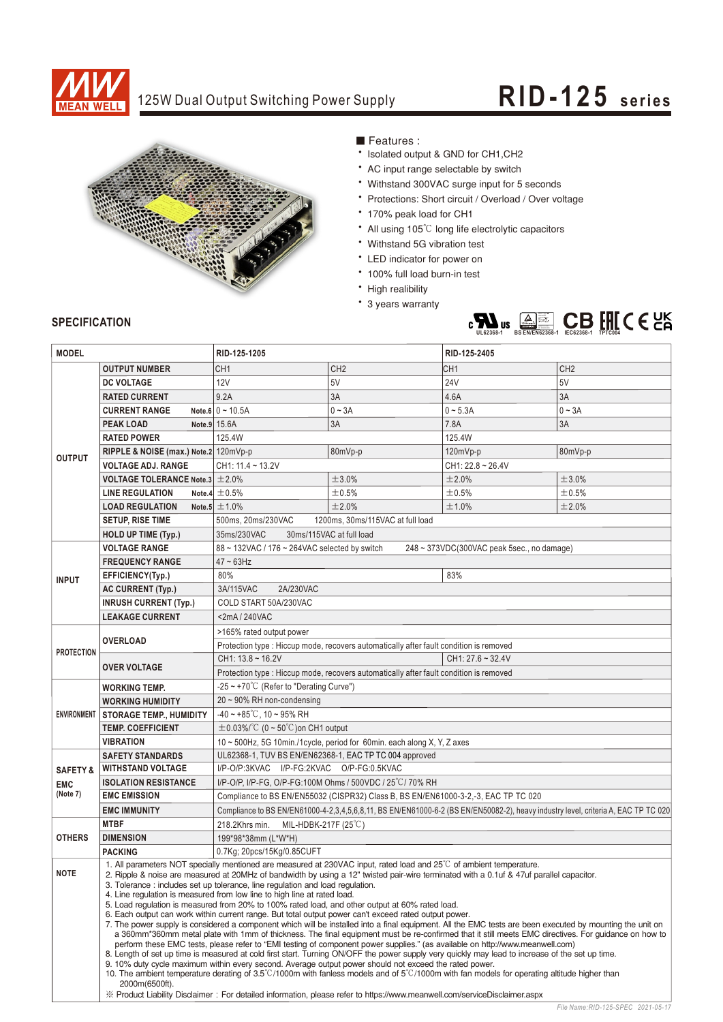

### 125W Dual Output Switching Power Supply

# **RID-125 seri es**



■ Features :

- \* Isolated output & GND for CH1, CH2
- AC input range selectable by switch
- Withstand 300VAC surge input for 5 seconds
- \* Protections: Short circuit / Overload / Over voltage
- 170% peak load for CH1
- All using 105°C long life electrolytic capacitors
- Withstand 5G vibration test
- LED indicator for power on
- \* 100% full load burn-in test
- High realibility
- \* 3 years warranty



### **SPECIFICATION**

| <b>MODEL</b>        |                                                                                                                                                                                                                                                                                                                                                                                                                                          | RID-125-1205                                                                                                                                |                     | RID-125-2405           |                 |  |  |  |
|---------------------|------------------------------------------------------------------------------------------------------------------------------------------------------------------------------------------------------------------------------------------------------------------------------------------------------------------------------------------------------------------------------------------------------------------------------------------|---------------------------------------------------------------------------------------------------------------------------------------------|---------------------|------------------------|-----------------|--|--|--|
|                     | <b>OUTPUT NUMBER</b>                                                                                                                                                                                                                                                                                                                                                                                                                     | CH <sub>1</sub>                                                                                                                             | CH <sub>2</sub>     | CH <sub>1</sub>        | CH <sub>2</sub> |  |  |  |
|                     | <b>DC VOLTAGE</b>                                                                                                                                                                                                                                                                                                                                                                                                                        | 12V                                                                                                                                         | 5V                  | <b>24V</b>             | 5V              |  |  |  |
|                     | <b>RATED CURRENT</b>                                                                                                                                                                                                                                                                                                                                                                                                                     | 9.2A                                                                                                                                        | 3A                  | 4.6A                   | 3A              |  |  |  |
|                     | <b>CURRENT RANGE</b>                                                                                                                                                                                                                                                                                                                                                                                                                     | Note 6 $0 \sim 10.5$ A                                                                                                                      | $0 - 3A$            | $0 - 5.3A$             | $0 - 3A$        |  |  |  |
|                     | <b>PEAK LOAD</b>                                                                                                                                                                                                                                                                                                                                                                                                                         | Note.9 15.6A                                                                                                                                | 3A                  | 7.8A                   | 3A              |  |  |  |
|                     | <b>RATED POWER</b>                                                                                                                                                                                                                                                                                                                                                                                                                       | 125.4W                                                                                                                                      |                     | 125.4W                 |                 |  |  |  |
| <b>OUTPUT</b>       | RIPPLE & NOISE (max.) Note.2 120mVp-p                                                                                                                                                                                                                                                                                                                                                                                                    | 80mVp-p                                                                                                                                     |                     | 120mVp-p<br>80mVp-p    |                 |  |  |  |
|                     | <b>VOLTAGE ADJ. RANGE</b>                                                                                                                                                                                                                                                                                                                                                                                                                | CH1: 11.4 ~ 13.2V                                                                                                                           |                     | $CH1: 22.8 \sim 26.4V$ |                 |  |  |  |
|                     | VOLTAGE TOLERANCE Note.3 $\pm$ 2.0%                                                                                                                                                                                                                                                                                                                                                                                                      |                                                                                                                                             | ±3.0%               | ±2.0%                  | ±3.0%           |  |  |  |
|                     | <b>LINE REGULATION</b>                                                                                                                                                                                                                                                                                                                                                                                                                   | Note.4 $\pm$ 0.5%                                                                                                                           | $\pm 0.5\%$         | ±0.5%                  | $\pm 0.5\%$     |  |  |  |
|                     | <b>LOAD REGULATION</b>                                                                                                                                                                                                                                                                                                                                                                                                                   | Note.5 $\pm$ 1.0%                                                                                                                           | ±2.0%               | ±1.0%                  | ±2.0%           |  |  |  |
|                     | <b>SETUP, RISE TIME</b>                                                                                                                                                                                                                                                                                                                                                                                                                  | 500ms, 20ms/230VAC<br>1200ms, 30ms/115VAC at full load                                                                                      |                     |                        |                 |  |  |  |
|                     | <b>HOLD UP TIME (Typ.)</b>                                                                                                                                                                                                                                                                                                                                                                                                               | 35ms/230VAC<br>30ms/115VAC at full load                                                                                                     |                     |                        |                 |  |  |  |
|                     | <b>VOLTAGE RANGE</b>                                                                                                                                                                                                                                                                                                                                                                                                                     | 88 ~ 132VAC / 176 ~ 264VAC selected by switch<br>248 ~ 373VDC(300VAC peak 5sec., no damage)                                                 |                     |                        |                 |  |  |  |
|                     | <b>FREQUENCY RANGE</b>                                                                                                                                                                                                                                                                                                                                                                                                                   | $47 - 63$ Hz                                                                                                                                |                     |                        |                 |  |  |  |
| <b>INPUT</b>        | EFFICIENCY(Typ.)                                                                                                                                                                                                                                                                                                                                                                                                                         | 80%                                                                                                                                         |                     | 83%                    |                 |  |  |  |
|                     | <b>AC CURRENT (Typ.)</b>                                                                                                                                                                                                                                                                                                                                                                                                                 | 2A/230VAC<br>3A/115VAC                                                                                                                      |                     |                        |                 |  |  |  |
|                     | <b>INRUSH CURRENT (Typ.)</b>                                                                                                                                                                                                                                                                                                                                                                                                             | COLD START 50A/230VAC                                                                                                                       |                     |                        |                 |  |  |  |
|                     | <b>LEAKAGE CURRENT</b>                                                                                                                                                                                                                                                                                                                                                                                                                   | <2mA/240VAC                                                                                                                                 |                     |                        |                 |  |  |  |
|                     | <b>OVERLOAD</b>                                                                                                                                                                                                                                                                                                                                                                                                                          | >165% rated output power                                                                                                                    |                     |                        |                 |  |  |  |
| <b>PROTECTION</b>   |                                                                                                                                                                                                                                                                                                                                                                                                                                          | Protection type : Hiccup mode, recovers automatically after fault condition is removed                                                      |                     |                        |                 |  |  |  |
|                     | <b>OVER VOLTAGE</b>                                                                                                                                                                                                                                                                                                                                                                                                                      | CH1: 13.8~16.2V<br>$CH1: 27.6 - 32.4V$                                                                                                      |                     |                        |                 |  |  |  |
|                     |                                                                                                                                                                                                                                                                                                                                                                                                                                          | Protection type : Hiccup mode, recovers automatically after fault condition is removed                                                      |                     |                        |                 |  |  |  |
| <b>ENVIRONMENT</b>  | <b>WORKING TEMP.</b>                                                                                                                                                                                                                                                                                                                                                                                                                     | -25 ~ +70 $\degree$ C (Refer to "Derating Curve")                                                                                           |                     |                        |                 |  |  |  |
|                     | <b>WORKING HUMIDITY</b>                                                                                                                                                                                                                                                                                                                                                                                                                  | $20 \sim 90\%$ RH non-condensing                                                                                                            |                     |                        |                 |  |  |  |
|                     | <b>STORAGE TEMP., HUMIDITY</b>                                                                                                                                                                                                                                                                                                                                                                                                           | $-40 \sim +85^{\circ}$ C, 10 ~ 95% RH                                                                                                       |                     |                        |                 |  |  |  |
|                     | <b>TEMP. COEFFICIENT</b>                                                                                                                                                                                                                                                                                                                                                                                                                 | $\pm$ 0.03%/°C (0 ~ 50°C) on CH1 output                                                                                                     |                     |                        |                 |  |  |  |
|                     | <b>VIBRATION</b>                                                                                                                                                                                                                                                                                                                                                                                                                         | 10 ~ 500Hz, 5G 10min./1cycle, period for 60min. each along X, Y, Z axes                                                                     |                     |                        |                 |  |  |  |
|                     | <b>SAFETY STANDARDS</b>                                                                                                                                                                                                                                                                                                                                                                                                                  | UL62368-1, TUV BS EN/EN62368-1, EAC TP TC 004 approved                                                                                      |                     |                        |                 |  |  |  |
| <b>SAFETY &amp;</b> | <b>WITHSTAND VOLTAGE</b>                                                                                                                                                                                                                                                                                                                                                                                                                 | I/P-O/P:3KVAC I/P-FG:2KVAC O/P-FG:0.5KVAC                                                                                                   |                     |                        |                 |  |  |  |
| <b>EMC</b>          | <b>ISOLATION RESISTANCE</b>                                                                                                                                                                                                                                                                                                                                                                                                              | I/P-O/P, I/P-FG, O/P-FG:100M Ohms / 500VDC / 25 °C / 70% RH                                                                                 |                     |                        |                 |  |  |  |
| (Note 7)            | <b>EMC EMISSION</b>                                                                                                                                                                                                                                                                                                                                                                                                                      | Compliance to BS EN/EN55032 (CISPR32) Class B, BS EN/EN61000-3-2,-3, EAC TP TC 020                                                          |                     |                        |                 |  |  |  |
|                     | <b>EMC IMMUNITY</b>                                                                                                                                                                                                                                                                                                                                                                                                                      | Compliance to BS EN/EN61000-4-2,3,4,5,6,8,11, BS EN/EN61000-6-2 (BS EN/EN50082-2), heavy industry level, criteria A, EAC TP TC 020          |                     |                        |                 |  |  |  |
| <b>OTHERS</b>       | <b>MTBF</b>                                                                                                                                                                                                                                                                                                                                                                                                                              | 218.2Khrs min.<br>MIL-HDBK-217F (25°C)                                                                                                      |                     |                        |                 |  |  |  |
|                     | <b>DIMENSION</b>                                                                                                                                                                                                                                                                                                                                                                                                                         |                                                                                                                                             | 199*98*38mm (L*W*H) |                        |                 |  |  |  |
|                     | <b>PACKING</b>                                                                                                                                                                                                                                                                                                                                                                                                                           | 0.7Kg; 20pcs/15Kg/0.85CUFT                                                                                                                  |                     |                        |                 |  |  |  |
| <b>NOTE</b>         | 1. All parameters NOT specially mentioned are measured at 230VAC input, rated load and 25°C of ambient temperature.<br>2. Ripple & noise are measured at 20MHz of bandwidth by using a 12" twisted pair-wire terminated with a 0.1uf & 47uf parallel capacitor.                                                                                                                                                                          |                                                                                                                                             |                     |                        |                 |  |  |  |
|                     |                                                                                                                                                                                                                                                                                                                                                                                                                                          |                                                                                                                                             |                     |                        |                 |  |  |  |
|                     | 3. Tolerance: includes set up tolerance, line regulation and load regulation.<br>4. Line regulation is measured from low line to high line at rated load.                                                                                                                                                                                                                                                                                |                                                                                                                                             |                     |                        |                 |  |  |  |
|                     | 5. Load regulation is measured from 20% to 100% rated load, and other output at 60% rated load.<br>6. Each output can work within current range. But total output power can't exceed rated output power.                                                                                                                                                                                                                                 |                                                                                                                                             |                     |                        |                 |  |  |  |
|                     | 7. The power supply is considered a component which will be installed into a final equipment. All the EMC tests are been executed by mounting the unit on                                                                                                                                                                                                                                                                                |                                                                                                                                             |                     |                        |                 |  |  |  |
|                     | a 360mm*360mm metal plate with 1mm of thickness. The final equipment must be re-confirmed that it still meets EMC directives. For guidance on how to<br>perform these EMC tests, please refer to "EMI testing of component power supplies." (as available on http://www.meanwell.com)<br>8. Length of set up time is measured at cold first start. Turning ON/OFF the power supply very quickly may lead to increase of the set up time. |                                                                                                                                             |                     |                        |                 |  |  |  |
|                     |                                                                                                                                                                                                                                                                                                                                                                                                                                          |                                                                                                                                             |                     |                        |                 |  |  |  |
|                     | 9. 10% duty cycle maximum within every second. Average output power should not exceed the rated power.                                                                                                                                                                                                                                                                                                                                   | 10. The ambient temperature derating of 3.5°C/1000m with fanless models and of 5°C/1000m with fan models for operating altitude higher than |                     |                        |                 |  |  |  |
|                     | 2000m(6500ft).                                                                                                                                                                                                                                                                                                                                                                                                                           |                                                                                                                                             |                     |                        |                 |  |  |  |
|                     | X Product Liability Disclaimer: For detailed information, please refer to https://www.meanwell.com/serviceDisclaimer.aspx                                                                                                                                                                                                                                                                                                                |                                                                                                                                             |                     |                        |                 |  |  |  |